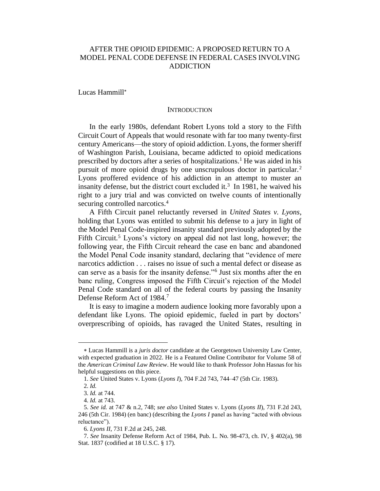# AFTER THE OPIOID EPIDEMIC: A PROPOSED RETURN TO A MODEL PENAL CODE DEFENSE IN FEDERAL CASES INVOLVING ADDICTION

Lucas Hammill

#### **INTRODUCTION**

In the early 1980s, defendant Robert Lyons told a story to the Fifth Circuit Court of Appeals that would resonate with far too many twenty-first century Americans—the story of opioid addiction. Lyons, the former sheriff of Washington Parish, Louisiana, became addicted to opioid medications prescribed by doctors after a series of hospitalizations.<sup>1</sup> He was aided in his pursuit of more opioid drugs by one unscrupulous doctor in particular.<sup>2</sup> Lyons proffered evidence of his addiction in an attempt to muster an insanity defense, but the district court excluded it.<sup>3</sup> In 1981, he waived his right to a jury trial and was convicted on twelve counts of intentionally securing controlled narcotics.<sup>4</sup>

A Fifth Circuit panel reluctantly reversed in *United States v. Lyons*, holding that Lyons was entitled to submit his defense to a jury in light of the Model Penal Code-inspired insanity standard previously adopted by the Fifth Circuit.<sup>5</sup> Lyons's victory on appeal did not last long, however; the following year, the Fifth Circuit reheard the case en banc and abandoned the Model Penal Code insanity standard, declaring that "evidence of mere narcotics addiction . . . raises no issue of such a mental defect or disease as can serve as a basis for the insanity defense."<sup>6</sup> Just six months after the en banc ruling, Congress imposed the Fifth Circuit's rejection of the Model Penal Code standard on all of the federal courts by passing the Insanity Defense Reform Act of 1984. 7

It is easy to imagine a modern audience looking more favorably upon a defendant like Lyons. The opioid epidemic, fueled in part by doctors' overprescribing of opioids, has ravaged the United States, resulting in

Lucas Hammill is a *juris doctor* candidate at the Georgetown University Law Center, with expected graduation in 2022. He is a Featured Online Contributor for Volume 58 of the *American Criminal Law Review*. He would like to thank Professor John Hasnas for his helpful suggestions on this piece.

<sup>1.</sup> *See* United States v. Lyons (*Lyons I*), 704 F.2d 743, 744–47 (5th Cir. 1983).

<sup>2.</sup> *Id.*

<sup>3.</sup> *Id.* at 744.

<sup>4.</sup> *Id.* at 743.

<sup>5.</sup> *See id.* at 747 & n.2, 748; *see also* United States v. Lyons (*Lyons II*), 731 F.2d 243, 246 (5th Cir. 1984) (en banc) (describing the *Lyons I* panel as having "acted with obvious reluctance").

<sup>6.</sup> *Lyons II*, 731 F.2d at 245, 248.

<sup>7.</sup> *See* Insanity Defense Reform Act of 1984, Pub. L. No. 98-473, ch. IV, § 402(a), 98 Stat. 1837 (codified at 18 U.S.C. § 17).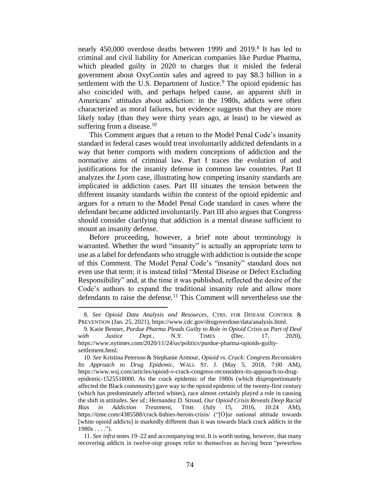nearly 450,000 overdose deaths between 1999 and 2019.<sup>8</sup> It has led to criminal and civil liability for American companies like Purdue Pharma, which pleaded guilty in 2020 to charges that it misled the federal government about OxyContin sales and agreed to pay \$8.3 billion in a settlement with the U.S. Department of Justice.<sup>9</sup> The opioid epidemic has also coincided with, and perhaps helped cause, an apparent shift in Americans' attitudes about addiction: in the 1980s, addicts were often characterized as moral failures, but evidence suggests that they are more likely today (than they were thirty years ago, at least) to be viewed as suffering from a disease. $10$ 

This Comment argues that a return to the Model Penal Code's insanity standard in federal cases would treat involuntarily addicted defendants in a way that better comports with modern conceptions of addiction and the normative aims of criminal law. Part I traces the evolution of and justifications for the insanity defense in common law countries. Part II analyzes the *Lyons* case, illustrating how competing insanity standards are implicated in addiction cases. Part III situates the tension between the different insanity standards within the context of the opioid epidemic and argues for a return to the Model Penal Code standard in cases where the defendant became addicted involuntarily. Part III also argues that Congress should consider clarifying that addiction is a mental disease sufficient to mount an insanity defense.

Before proceeding, however, a brief note about terminology is warranted. Whether the word "insanity" is actually an appropriate term to use as a label for defendants who struggle with addiction is outside the scope of this Comment. The Model Penal Code's "insanity" standard does not even use that term; it is instead titled "Mental Disease or Defect Excluding Responsibility" and, at the time it was published, reflected the desire of the Code's authors to expand the traditional insanity rule and allow more defendants to raise the defense.<sup>11</sup> This Comment will nevertheless use the

<sup>8.</sup> *See Opioid Data Analysis and Resources*, CTRS. FOR DISEASE CONTROL & PREVENTION (Jan. 25, 2021), https://www.cdc.gov/drugoverdose/data/analysis.html.

<sup>9.</sup> Katie Benner, *Purdue Pharma Pleads Guilty to Role in Opioid Crisis as Part of Deal with Justice Dept.*, N.Y. TIMES (Dec. 17, 2020), https://www.nytimes.com/2020/11/24/us/politics/purdue-pharma-opioids-guiltysettlement.html.

<sup>10.</sup> *See* Kristina Peterson & Stephanie Armour, *Opioid vs. Crack: Congress Reconsiders Its Approach to Drug Epidemic*, WALL ST. J. (May 5, 2018, 7:00 AM), https://www.wsj.com/articles/opioid-v-crack-congress-reconsiders-its-approach-to-drugepidemic-1525518000. As the crack epidemic of the 1980s (which disproportionately affected the Black community) gave way to the opioid epidemic of the twenty-first century (which has predominately affected whites), race almost certainly played a role in causing the shift in attitudes. *See id.*; Hernandez D. Stroud, *Our Opioid Crisis Reveals Deep Racial Bias in Addiction Treatment*, TIME (July 15, 2016, 10:24 AM), https://time.com/4385588/crack-babies-heroin-crisis/ ("[O]ur national attitude towards [white opioid addicts] is markedly different than it was towards black crack addicts in the  $1980s...$ ").

<sup>11.</sup> *See infra* notes 19–22 and accompanying text. It is worth noting, however, that many recovering addicts in twelve-step groups refer to themselves as having been "powerless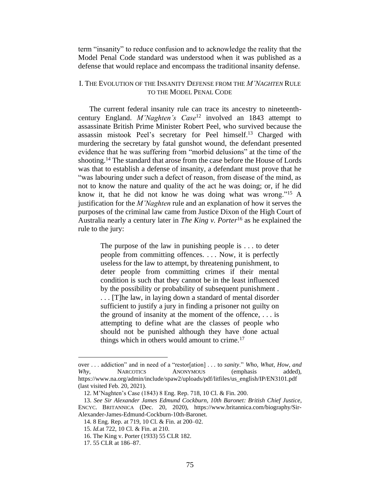term "insanity" to reduce confusion and to acknowledge the reality that the Model Penal Code standard was understood when it was published as a defense that would replace and encompass the traditional insanity defense.

## I. THE EVOLUTION OF THE INSANITY DEFENSE FROM THE *M'NAGHTEN* RULE TO THE MODEL PENAL CODE

The current federal insanity rule can trace its ancestry to nineteenthcentury England. *M'Naghten's Case*<sup>12</sup> involved an 1843 attempt to assassinate British Prime Minister Robert Peel, who survived because the assassin mistook Peel's secretary for Peel himself.<sup>13</sup> Charged with murdering the secretary by fatal gunshot wound, the defendant presented evidence that he was suffering from "morbid delusions" at the time of the shooting.<sup>14</sup> The standard that arose from the case before the House of Lords was that to establish a defense of insanity, a defendant must prove that he "was labouring under such a defect of reason, from disease of the mind, as not to know the nature and quality of the act he was doing; or, if he did know it, that he did not know he was doing what was wrong."<sup>15</sup> A justification for the *M'Naghten* rule and an explanation of how it serves the purposes of the criminal law came from Justice Dixon of the High Court of Australia nearly a century later in *The King v. Porter*<sup>16</sup> as he explained the rule to the jury:

> The purpose of the law in punishing people is . . . to deter people from committing offences. . . . Now, it is perfectly useless for the law to attempt, by threatening punishment, to deter people from committing crimes if their mental condition is such that they cannot be in the least influenced by the possibility or probability of subsequent punishment . . . . [T]he law, in laying down a standard of mental disorder sufficient to justify a jury in finding a prisoner not guilty on the ground of insanity at the moment of the offence, . . . is attempting to define what are the classes of people who should not be punished although they have done actual things which in others would amount to crime.<sup>17</sup>

over . . . addiction" and in need of a "restor[ation] . . . to *sanity*." *Who, What, How, and*  Why, NARCOTICS ANONYMOUS (emphasis added), https://www.na.org/admin/include/spaw2/uploads/pdf/litfiles/us\_english/IP/EN3101.pdf (last visited Feb. 20, 2021).

<sup>12.</sup> M'Naghten's Case (1843) 8 Eng. Rep. 718, 10 Cl. & Fin. 200.

<sup>13.</sup> *See Sir Alexander James Edmund Cockburn, 10th Baronet: British Chief Justice*, ENCYC. BRITANNICA (Dec. 20, 2020), https://www.britannica.com/biography/Sir-Alexander-James-Edmund-Cockburn-10th-Baronet.

<sup>14.</sup> 8 Eng. Rep. at 719, 10 Cl. & Fin. at 200–02.

<sup>15.</sup> *Id.*at 722, 10 Cl. & Fin. at 210.

<sup>16.</sup> The King v. Porter (1933) 55 CLR 182.

<sup>17.</sup> 55 CLR at 186–87.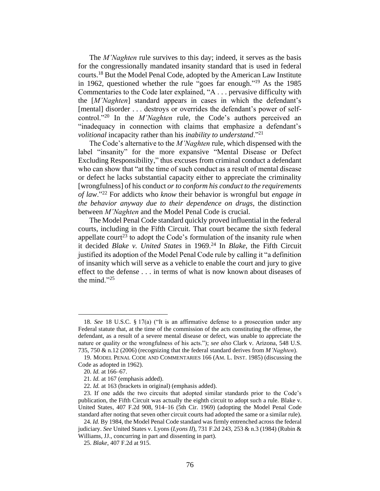The *M'Naghten* rule survives to this day; indeed, it serves as the basis for the congressionally mandated insanity standard that is used in federal courts. <sup>18</sup> But the Model Penal Code, adopted by the American Law Institute in 1962, questioned whether the rule "goes far enough." <sup>19</sup> As the 1985 Commentaries to the Code later explained, "A . . . pervasive difficulty with the [*M'Naghten*] standard appears in cases in which the defendant's [mental] disorder ... destroys or overrides the defendant's power of selfcontrol."<sup>20</sup> In the *M'Naghten* rule, the Code's authors perceived an "inadequacy in connection with claims that emphasize a defendant's *volitional* incapacity rather than his *inability to understand*."<sup>21</sup>

The Code's alternative to the *M'Naghten* rule, which dispensed with the label "insanity" for the more expansive "Mental Disease or Defect Excluding Responsibility," thus excuses from criminal conduct a defendant who can show that "at the time of such conduct as a result of mental disease or defect he lacks substantial capacity either to appreciate the criminality [wrongfulness] of his conduct *or to conform his conduct to the requirements of law*."<sup>22</sup> For addicts who *know* their behavior is wrongful but *engage in the behavior anyway due to their dependence on drugs*, the distinction between *M'Naghten* and the Model Penal Code is crucial.

The Model Penal Code standard quickly proved influential in the federal courts, including in the Fifth Circuit. That court became the sixth federal appellate court<sup>23</sup> to adopt the Code's formulation of the insanity rule when it decided *Blake v. United States* in 1969.<sup>24</sup> In *Blake*, the Fifth Circuit justified its adoption of the Model Penal Code rule by calling it "a definition of insanity which will serve as a vehicle to enable the court and jury to give effect to the defense . . . in terms of what is now known about diseases of the mind."<sup>25</sup>

<sup>18.</sup> *See* 18 U.S.C. § 17(a) ("It is an affirmative defense to a prosecution under any Federal statute that, at the time of the commission of the acts constituting the offense, the defendant, as a result of a severe mental disease or defect, was unable to appreciate the nature or quality or the wrongfulness of his acts."); *see also* Clark v. Arizona, 548 U.S. 735, 750 & n.12 (2006) (recognizing that the federal standard derives from *M'Naghten*).

<sup>19.</sup> MODEL PENAL CODE AND COMMENTARIES 166 (AM. L. INST. 1985) (discussing the Code as adopted in 1962).

<sup>20.</sup> *Id.* at 166–67.

<sup>21.</sup> *Id.* at 167 (emphasis added).

<sup>22.</sup> *Id.* at 163 (brackets in original) (emphasis added).

<sup>23.</sup> If one adds the two circuits that adopted similar standards prior to the Code's publication, the Fifth Circuit was actually the eighth circuit to adopt such a rule. Blake v. United States, 407 F.2d 908, 914–16 (5th Cir. 1969) (adopting the Model Penal Code standard after noting that seven other circuit courts had adopted the same or a similar rule).

<sup>24.</sup> *Id.* By 1984, the Model Penal Code standard was firmly entrenched across the federal judiciary. *See* United States v. Lyons (*Lyons II*), 731 F.2d 243, 253 & n.3 (1984) (Rubin & Williams, JJ., concurring in part and dissenting in part).

<sup>25.</sup> *Blake*, 407 F.2d at 915.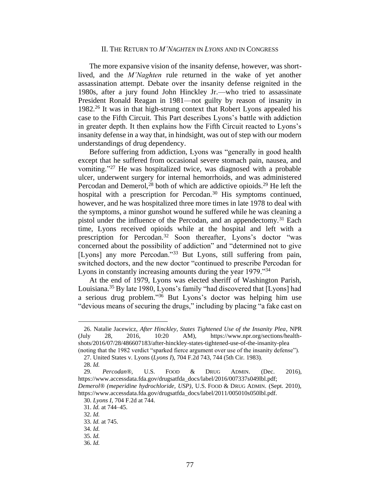#### II. THE RETURN TO *M'NAGHTEN* IN *LYONS* AND IN CONGRESS

The more expansive vision of the insanity defense, however, was shortlived, and the *M'Naghten* rule returned in the wake of yet another assassination attempt. Debate over the insanity defense reignited in the 1980s, after a jury found John Hinckley Jr.—who tried to assassinate President Ronald Reagan in 1981—not guilty by reason of insanity in 1982.<sup>26</sup> It was in that high-strung context that Robert Lyons appealed his case to the Fifth Circuit. This Part describes Lyons's battle with addiction in greater depth. It then explains how the Fifth Circuit reacted to Lyons's insanity defense in a way that, in hindsight, was out of step with our modern understandings of drug dependency.

Before suffering from addiction, Lyons was "generally in good health except that he suffered from occasional severe stomach pain, nausea, and vomiting."<sup>27</sup> He was hospitalized twice, was diagnosed with a probable ulcer, underwent surgery for internal hemorrhoids, and was administered Percodan and Demerol,  $^{28}$  both of which are addictive opioids.  $^{29}$  He left the hospital with a prescription for Percodan.<sup>30</sup> His symptoms continued, however, and he was hospitalized three more times in late 1978 to deal with the symptoms, a minor gunshot wound he suffered while he was cleaning a pistol under the influence of the Percodan, and an appendectomy.<sup>31</sup> Each time, Lyons received opioids while at the hospital and left with a prescription for Percodan.<sup>32</sup> Soon thereafter, Lyons's doctor "was concerned about the possibility of addiction" and "determined not to give [Lyons] any more Percodan."<sup>33</sup> But Lyons, still suffering from pain, switched doctors, and the new doctor "continued to prescribe Percodan for Lyons in constantly increasing amounts during the year 1979."<sup>34</sup>

At the end of 1979, Lyons was elected sheriff of Washington Parish, Louisiana.<sup>35</sup> By late 1980, Lyons's family "had discovered that [Lyons] had a serious drug problem." <sup>36</sup> But Lyons's doctor was helping him use "devious means of securing the drugs," including by placing "a fake cast on

<sup>26.</sup> Natalie Jacewicz, *After Hinckley, States Tightened Use of the Insanity Plea*, NPR (July 28, 2016, 10:20 AM), https://www.npr.org/sections/healthshots/2016/07/28/486607183/after-hinckley-states-tightened-use-of-the-insanity-plea (noting that the 1982 verdict "sparked fierce argument over use of the insanity defense").

<sup>27.</sup> United States v. Lyons (*Lyons I*), 704 F.2d 743, 744 (5th Cir. 1983).

<sup>28.</sup> *Id.*

<sup>29.</sup> *Percodan®*, U.S. FOOD & DRUG ADMIN. (Dec. 2016), https://www.accessdata.fda.gov/drugsatfda\_docs/label/2016/007337s049lbl.pdf; *Demerol® (meperidine hydrochloride, USP)*, U.S. FOOD & DRUG ADMIN. (Sept. 2010), https://www.accessdata.fda.gov/drugsatfda\_docs/label/2011/005010s050lbl.pdf.

<sup>30.</sup> *Lyons I*, 704 F.2d at 744.

<sup>31.</sup> *Id.* at 744–45.

<sup>32.</sup> *Id.*

<sup>33.</sup> *Id.* at 745.

<sup>34.</sup> *Id.*

<sup>35.</sup> *Id.*

<sup>36.</sup> *Id.*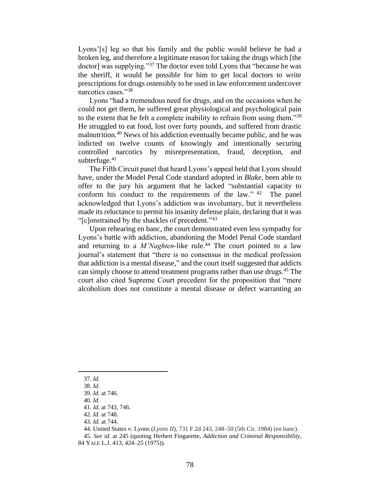Lyons'[s] leg so that his family and the public would believe he had a broken leg, and therefore a legitimate reason for taking the drugs which [the doctor] was supplying."<sup>37</sup> The doctor even told Lyons that "because he was the sheriff, it would be possible for him to get local doctors to write prescriptions for drugs ostensibly to be used in law enforcement undercover narcotics cases."<sup>38</sup>

Lyons "had a tremendous need for drugs, and on the occasions when he could not get them, he suffered great physiological and psychological pain to the extent that he felt a complete inability to refrain from using them."<sup>39</sup> He struggled to eat food, lost over forty pounds, and suffered from drastic malnutrition.<sup>40</sup> News of his addiction eventually became public, and he was indicted on twelve counts of knowingly and intentionally securing controlled narcotics by misrepresentation, fraud, deception, and subterfuge. $41$ 

The Fifth Circuit panel that heard Lyons's appeal held that Lyons should have, under the Model Penal Code standard adopted in *Blake*, been able to offer to the jury his argument that he lacked "substantial capacity to conform his conduct to the requirements of the law."  $42$  The panel acknowledged that Lyons's addiction was involuntary, but it nevertheless made its reluctance to permit his insanity defense plain, declaring that it was "[c]onstrained by the shackles of precedent."<sup>43</sup>

Upon rehearing en banc, the court demonstrated even less sympathy for Lyons's battle with addiction, abandoning the Model Penal Code standard and returning to a *M'Naghten*-like rule. <sup>44</sup> The court pointed to a law journal's statement that "there is no consensus in the medical profession that addiction is a mental disease," and the court itself suggested that addicts can simply choose to attend treatment programs rather than use drugs.<sup>45</sup> The court also cited Supreme Court precedent for the proposition that "mere alcoholism does not constitute a mental disease or defect warranting an

<sup>37.</sup> *Id.*

<sup>38.</sup> *Id.*

<sup>39.</sup> *Id.* at 746.

<sup>40.</sup> *Id.*

<sup>41.</sup> *Id.* at 743, 746.

<sup>42.</sup> *Id.* at 748.

<sup>43.</sup> *Id.* at 744.

<sup>44.</sup> United States v. Lyons (*Lyons II*), 731 F.2d 243, 248–50 (5th Cir. 1984) (en banc).

<sup>45.</sup> *See id.* at 245 (quoting Herbert Fingarette, *Addiction and Criminal Responsibility*, 84 YALE L.J. 413, 424–25 (1975)).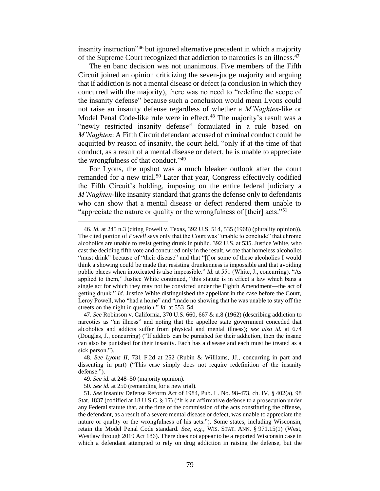insanity instruction"<sup>46</sup> but ignored alternative precedent in which a majority of the Supreme Court recognized that addiction to narcotics is an illness.<sup>47</sup>

The en banc decision was not unanimous. Five members of the Fifth Circuit joined an opinion criticizing the seven-judge majority and arguing that if addiction is not a mental disease or defect (a conclusion in which they concurred with the majority), there was no need to "redefine the scope of the insanity defense" because such a conclusion would mean Lyons could not raise an insanity defense regardless of whether a *M'Naghten*-like or Model Penal Code-like rule were in effect.<sup>48</sup> The majority's result was a "newly restricted insanity defense" formulated in a rule based on *M'Naghten*: A Fifth Circuit defendant accused of criminal conduct could be acquitted by reason of insanity, the court held, "only if at the time of that conduct, as a result of a mental disease or defect, he is unable to appreciate the wrongfulness of that conduct."<sup>49</sup>

For Lyons, the upshot was a much bleaker outlook after the court remanded for a new trial.<sup>50</sup> Later that year, Congress effectively codified the Fifth Circuit's holding, imposing on the entire federal judiciary a *M'Naghten*-like insanity standard that grants the defense only to defendants who can show that a mental disease or defect rendered them unable to "appreciate the nature or quality or the wrongfulness of  $[their]$  acts."<sup>51</sup>

<sup>46.</sup> *Id.* at 245 n.3 (citing Powell v. Texas, 392 U.S. 514, 535 (1968) (plurality opinion)). The cited portion of *Powell* says only that the Court was "unable to conclude" that chronic alcoholics are unable to resist getting drunk in public. 392 U.S. at 535. Justice White, who cast the deciding fifth vote and concurred only in the result, wrote that homeless alcoholics "must drink" because of "their disease" and that "[f]or some of these alcoholics I would think a showing could be made that resisting drunkenness is impossible and that avoiding public places when intoxicated is also impossible." *Id.* at 551 (White, J., concurring). "As applied to them," Justice White continued, "this statute is in effect a law which bans a single act for which they may not be convicted under the Eighth Amendment—the act of getting drunk." *Id.* Justice White distinguished the appellant in the case before the Court, Leroy Powell, who "had a home" and "made no showing that he was unable to stay off the streets on the night in question." *Id.* at 553–54.

<sup>47.</sup> *See* Robinson v. California, 370 U.S. 660, 667 & n.8 (1962) (describing addiction to narcotics as "an illness" and noting that the appellee state government conceded that alcoholics and addicts suffer from physical and mental illness); *see also id.* at 674 (Douglas, J., concurring) ("If addicts can be punished for their addiction, then the insane can also be punished for their insanity. Each has a disease and each must be treated as a sick person.").

<sup>48.</sup> *See Lyons II*, 731 F.2d at 252 (Rubin & Williams, JJ., concurring in part and dissenting in part) ("This case simply does not require redefinition of the insanity defense.").

<sup>49.</sup> *See id.* at 248–50 (majority opinion).

<sup>50.</sup> *See id.* at 250 (remanding for a new trial).

<sup>51.</sup> *See* Insanity Defense Reform Act of 1984, Pub. L. No. 98-473, ch. IV, § 402(a), 98 Stat. 1837 (codified at 18 U.S.C. § 17) ("It is an affirmative defense to a prosecution under any Federal statute that, at the time of the commission of the acts constituting the offense, the defendant, as a result of a severe mental disease or defect, was unable to appreciate the nature or quality or the wrongfulness of his acts."). Some states, including Wisconsin, retain the Model Penal Code standard. *See, e.g.*, WIS. STAT. ANN. § 971.15(1) (West, Westlaw through 2019 Act 186). There does not appear to be a reported Wisconsin case in which a defendant attempted to rely on drug addiction in raising the defense, but the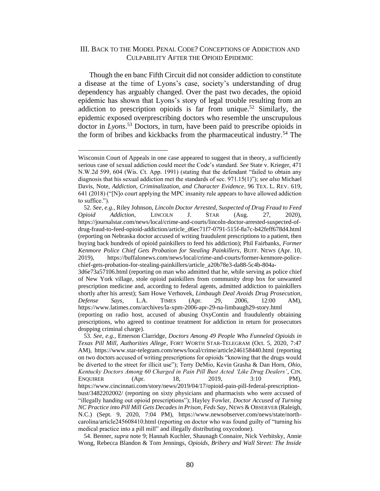### III. BACK TO THE MODEL PENAL CODE? CONCEPTIONS OF ADDICTION AND CULPABILITY AFTER THE OPIOID EPIDEMIC

Though the en banc Fifth Circuit did not consider addiction to constitute a disease at the time of Lyons's case, society's understanding of drug dependency has arguably changed. Over the past two decades, the opioid epidemic has shown that Lyons's story of legal trouble resulting from an addiction to prescription opioids is far from unique. <sup>52</sup> Similarly, the epidemic exposed overprescribing doctors who resemble the unscrupulous doctor in *Lyons*. <sup>53</sup> Doctors, in turn, have been paid to prescribe opioids in the form of bribes and kickbacks from the pharmaceutical industry.<sup>54</sup> The

Wisconsin Court of Appeals in one case appeared to suggest that in theory, a sufficiently serious case of sexual addiction could meet the Code's standard. *See* State v. Krieger, 471 N.W.2d 599, 604 (Wis. Ct. App. 1991) (stating that the defendant "failed to obtain any diagnosis that his sexual addiction met the standards of sec. 971.15(1)"); *see also* Michael Davis, Note, *Addiction, Criminalization, and Character Evidence*, 96 TEX. L. REV. 619, 641 (2018) ("[N]o court applying the MPC insanity rule appears to have allowed addiction to suffice.").

<sup>52.</sup> *See, e.g.*, Riley Johnson, *Lincoln Doctor Arrested, Suspected of Drug Fraud to Feed Opioid Addiction*, LINCOLN J. STAR (Aug. 27, 2020), https://journalstar.com/news/local/crime-and-courts/lincoln-doctor-arrested-suspected-ofdrug-fraud-to-feed-opioid-addiction/article\_d6ec71f7-0791-515f-8a7c-b42feff678d4.html (reporting on Nebraska doctor accused of writing fraudulent prescriptions to a patient, then buying back hundreds of opioid painkillers to feed his addiction); Phil Fairbanks, *Former Kenmore Police Chief Gets Probation for Stealing Painkillers*, BUFF. NEWS (Apr. 10, 2019), https://buffalonews.com/news/local/crime-and-courts/former-kenmore-policechief-gets-probation-for-stealing-painkillers/article\_a20b78e3-da88-5c4b-804a-3d6e73a57106.html (reporting on man who admitted that he, while serving as police chief of New York village, stole opioid painkillers from community drop box for unwanted prescription medicine and, according to federal agents, admitted addiction to painkillers

shortly after his arrest); Sam Howe Verhovek, *Limbaugh Deal Avoids Drug Prosecution, Defense Says*, L.A. TIMES (Apr. 29, 2006, 12:00 AM), https://www.latimes.com/archives/la-xpm-2006-apr-29-na-limbaugh29-story.html (reporting on radio host, accused of abusing OxyContin and fraudulently obtaining prescriptions, who agreed to continue treatment for addiction in return for prosecutors dropping criminal charge).

<sup>53.</sup> *See, e.g.*, Emerson Clarridge, *Doctors Among 49 People Who Funneled Opioids in Texas Pill Mill, Authorities Allege*, FORT WORTH STAR-TELEGRAM (Oct. 5, 2020, 7:47 AM), https://www.star-telegram.com/news/local/crime/article246158440.html (reporting on two doctors accused of writing prescriptions for opioids "knowing that the drugs would be diverted to the street for illicit use"); Terry DeMio, Kevin Grasha & Dan Horn, *Ohio, Kentucky Doctors Among 60 Charged in Pain Pill Bust Acted 'Like Drug Dealers'*, CIN. ENQUIRER (Apr. 18, 2019, 3:10 PM), https://www.cincinnati.com/story/news/2019/04/17/opioid-pain-pill-federal-prescriptionbust/3482202002/ (reporting on sixty physicians and pharmacists who were accused of "illegally handing out opioid prescriptions"); Hayley Fowler, *Doctor Accused of Turning NC Practice into Pill Mill Gets Decades in Prison, Feds Say*, NEWS & OBSERVER (Raleigh, N.C.) (Sept. 9, 2020, 7:04 PM), https://www.newsobserver.com/news/state/northcarolina/article245608410.html (reporting on doctor who was found guilty of "turning his medical practice into a pill mill" and illegally distributing oxycodone).

<sup>54.</sup> Benner, *supra* note 9; Hannah Kuchler, Shaunagh Connaire, Nick Verbitsky, Annie Wong, Rebecca Blandon & Tom Jennings, *Opioids, Bribery and Wall Street: The Inside*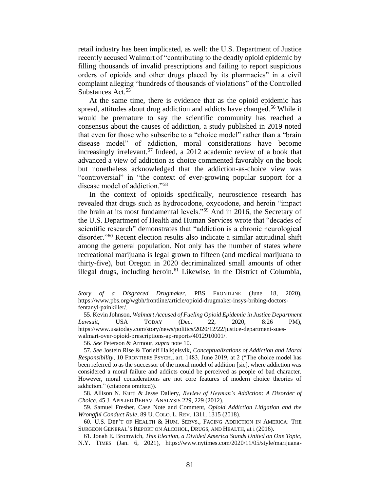retail industry has been implicated, as well: the U.S. Department of Justice recently accused Walmart of "contributing to the deadly opioid epidemic by filling thousands of invalid prescriptions and failing to report suspicious orders of opioids and other drugs placed by its pharmacies" in a civil complaint alleging "hundreds of thousands of violations" of the Controlled Substances Act.<sup>55</sup>

At the same time, there is evidence that as the opioid epidemic has spread, attitudes about drug addiction and addicts have changed.<sup>56</sup> While it would be premature to say the scientific community has reached a consensus about the causes of addiction, a study published in 2019 noted that even for those who subscribe to a "choice model" rather than a "brain disease model" of addiction, moral considerations have become increasingly irrelevant.<sup>57</sup> Indeed, a 2012 academic review of a book that advanced a view of addiction as choice commented favorably on the book but nonetheless acknowledged that the addiction-as-choice view was "controversial" in "the context of ever-growing popular support for a disease model of addiction."<sup>58</sup>

In the context of opioids specifically, neuroscience research has revealed that drugs such as hydrocodone, oxycodone, and heroin "impact the brain at its most fundamental levels."<sup>59</sup> And in 2016, the Secretary of the U.S. Department of Health and Human Services wrote that "decades of scientific research" demonstrates that "addiction is a chronic neurological disorder."<sup>60</sup> Recent election results also indicate a similar attitudinal shift among the general population. Not only has the number of states where recreational marijuana is legal grown to fifteen (and medical marijuana to thirty-five), but Oregon in 2020 decriminalized small amounts of other illegal drugs, including heroin.<sup>61</sup> Likewise, in the District of Columbia,

56. *See* Peterson & Armour, *supra* note 10.

*Story of a Disgraced Drugmaker*, PBS FRONTLINE (June 18, 2020), https://www.pbs.org/wgbh/frontline/article/opioid-drugmaker-insys-bribing-doctorsfentanyl-painkiller/.

<sup>55.</sup> Kevin Johnson, *Walmart Accused of Fueling Opioid Epidemic in Justice Department Lawsuit*, USA TODAY (Dec. 22, 2020, 8:26 PM), https://www.usatoday.com/story/news/politics/2020/12/22/justice-department-sueswalmart-over-opioid-prescriptions-ap-reports/4012910001/.

<sup>57.</sup> *See* Jostein Rise & Torleif Halkjelsvik, *Conceptualizations of Addiction and Moral Responsibility*, 10 FRONTIERS PSYCH., art. 1483, June 2019, at 2 ("The choice model has been referred to as the successor of the moral model of addition [sic], where addiction was considered a moral failure and addicts could be perceived as people of bad character. However, moral considerations are not core features of modern choice theories of addiction." (citations omitted)).

<sup>58.</sup> Allison N. Kurti & Jesse Dallery, *Review of Heyman's Addiction: A Disorder of Choice*, 45 J. APPLIED BEHAV. ANALYSIS 229, 229 (2012).

<sup>59.</sup> Samuel Fresher, Case Note and Comment, *Opioid Addiction Litigation and the Wrongful Conduct Rule*, 89 U. COLO. L. REV. 1311, 1315 (2018).

<sup>60.</sup> U.S. DEP'T OF HEALTH & HUM. SERVS., FACING ADDICTION IN AMERICA: THE SURGEON GENERAL'S REPORT ON ALCOHOL, DRUGS, AND HEALTH, at i (2016).

<sup>61.</sup> Jonah E. Bromwich, *This Election, a Divided America Stands United on One Topic*, N.Y. TIMES (Jan. 6, 2021), https://www.nytimes.com/2020/11/05/style/marijuana-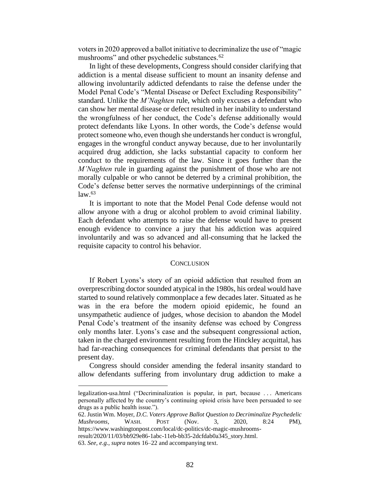voters in 2020 approved a ballot initiative to decriminalize the use of "magic mushrooms" and other psychedelic substances.<sup>62</sup>

In light of these developments, Congress should consider clarifying that addiction is a mental disease sufficient to mount an insanity defense and allowing involuntarily addicted defendants to raise the defense under the Model Penal Code's "Mental Disease or Defect Excluding Responsibility" standard. Unlike the *M'Naghten* rule, which only excuses a defendant who can show her mental disease or defect resulted in her inability to understand the wrongfulness of her conduct, the Code's defense additionally would protect defendants like Lyons. In other words, the Code's defense would protect someone who, even though she understands her conduct is wrongful, engages in the wrongful conduct anyway because, due to her involuntarily acquired drug addiction, she lacks substantial capacity to conform her conduct to the requirements of the law. Since it goes further than the *M'Naghten* rule in guarding against the punishment of those who are not morally culpable or who cannot be deterred by a criminal prohibition, the Code's defense better serves the normative underpinnings of the criminal  $law<sup>.63</sup>$ 

It is important to note that the Model Penal Code defense would not allow anyone with a drug or alcohol problem to avoid criminal liability. Each defendant who attempts to raise the defense would have to present enough evidence to convince a jury that his addiction was acquired involuntarily and was so advanced and all-consuming that he lacked the requisite capacity to control his behavior.

#### **CONCLUSION**

If Robert Lyons's story of an opioid addiction that resulted from an overprescribing doctor sounded atypical in the 1980s, his ordeal would have started to sound relatively commonplace a few decades later. Situated as he was in the era before the modern opioid epidemic, he found an unsympathetic audience of judges, whose decision to abandon the Model Penal Code's treatment of the insanity defense was echoed by Congress only months later. Lyons's case and the subsequent congressional action, taken in the charged environment resulting from the Hinckley acquittal, has had far-reaching consequences for criminal defendants that persist to the present day.

Congress should consider amending the federal insanity standard to allow defendants suffering from involuntary drug addiction to make a

legalization-usa.html ("Decriminalization is popular, in part, because . . . Americans personally affected by the country's continuing opioid crisis have been persuaded to see drugs as a public health issue.").

<sup>62.</sup> Justin Wm. Moyer, *D.C. Voters Approve Ballot Question to Decriminalize Psychedelic Mushrooms*, WASH. POST (Nov. 3, 2020, 8:24 PM), https://www.washingtonpost.com/local/dc-politics/dc-magic-mushroomsresult/2020/11/03/bb929e86-1abc-11eb-bb35-2dcfdab0a345\_story.html. 63. *See, e.g.*, *supra* notes 16–22 and accompanying text.